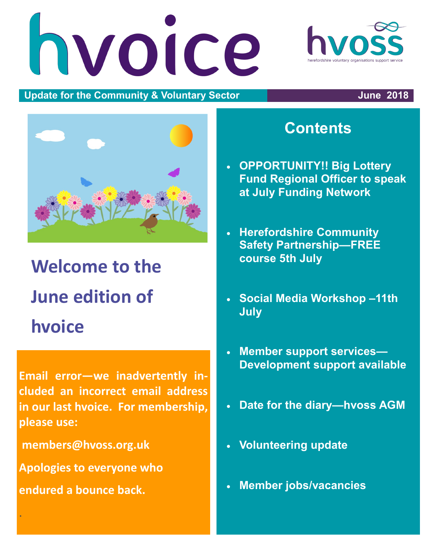# hvoice



#### **Update for the Community & Voluntary Sector June 2018**



# **Welcome to the June edition of hvoice**

**Email error—we inadvertently included an incorrect email address in our last hvoice. For membership, please use:**

**members@hvoss.org.uk**

**Apologies to everyone who** 

**endured a bounce back.**

.

# **Contents**

- **OPPORTUNITY!! Big Lottery Fund Regional Officer to speak at July Funding Network**
- **Herefordshire Community Safety Partnership—FREE course 5th July**
- **Social Media Workshop –11th July**
- **Member support services— Development support available**
- **Date for the diary—hvoss AGM**
- **Volunteering update**
- **Member jobs/vacancies**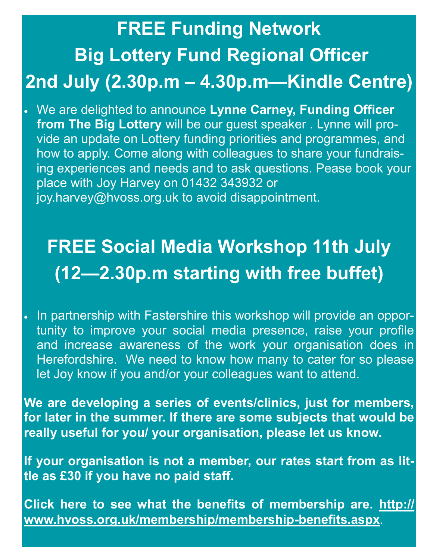# **FREE Funding Network Big Lottery Fund Regional Officer 2nd July (2.30p.m – 4.30p.m—Kindle Centre)**

 We are delighted to announce **Lynne Carney, Funding Officer from The Big Lottery** will be our guest speaker . Lynne will provide an update on Lottery funding priorities and programmes, and how to apply. Come along with colleagues to share your fundraising experiences and needs and to ask questions. Pease book your place with Joy Harvey on 01432 343932 or joy.harvey@hvoss.org.uk to avoid disappointment.

# **FREE Social Media Workshop 11th July (12—2.30p.m starting with free buffet)**

. In partnership with Fastershire this workshop will provide an opportunity to improve your social media presence, raise your profile and increase awareness of the work your organisation does in Herefordshire. We need to know how many to cater for so please let Joy know if you and/or your colleagues want to attend.

**We are developing a series of events/clinics, just for members, for later in the summer. If there are some subjects that would be really useful for you/ your organisation, please let us know.** 

**If your organisation is not a member, our rates start from as little as £30 if you have no paid staff.**

**Click here to see what the benefits of membership are. [http://](http://www.hvoss.org.uk/membership/membership-benefits.aspx) [www.hvoss.org.uk/membership/membership-benefits.aspx](http://www.hvoss.org.uk/membership/membership-benefits.aspx)**.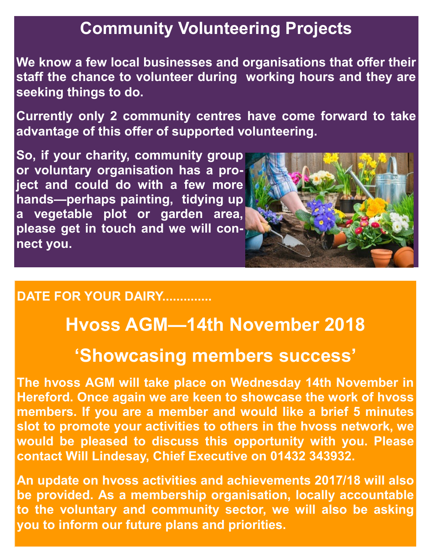# **Community Volunteering Projects**

**We know a few local businesses and organisations that offer their staff the chance to volunteer during working hours and they are seeking things to do.**

**Currently only 2 community centres have come forward to take advantage of this offer of supported volunteering.**

**So, if your charity, community group or voluntary organisation has a project and could do with a few more hands—perhaps painting, tidying up a vegetable plot or garden area, please get in touch and we will connect you.** 



#### **DATE FOR YOUR DAIRY..............**

# **Hvoss AGM—14th November 2018**

## **'Showcasing members success'**

**The hvoss AGM will take place on Wednesday 14th November in Hereford. Once again we are keen to showcase the work of hvoss members. If you are a member and would like a brief 5 minutes slot to promote your activities to others in the hvoss network, we would be pleased to discuss this opportunity with you. Please contact Will Lindesay, Chief Executive on 01432 343932.**

**An update on hvoss activities and achievements 2017/18 will also be provided. As a membership organisation, locally accountable to the voluntary and community sector, we will also be asking you to inform our future plans and priorities.**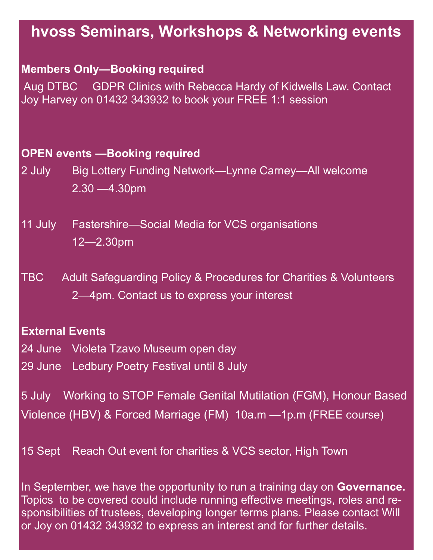## **hvoss Seminars, Workshops & Networking events**

#### **Members Only—Booking required**

Aug DTBC GDPR Clinics with Rebecca Hardy of Kidwells Law. Contact Joy Harvey on 01432 343932 to book your FREE 1:1 session

#### **OPEN events —Booking required**

- 2 July Big Lottery Funding Network—Lynne Carney—All welcome 2.30 —4.30pm
- 11 July Fastershire—Social Media for VCS organisations 12—2.30pm
- TBC Adult Safeguarding Policy & Procedures for Charities & Volunteers 2—4pm. Contact us to express your interest

#### **External Events**

24 June Violeta Tzavo Museum open day

29 June Ledbury Poetry Festival until 8 July

5 July Working to STOP Female Genital Mutilation (FGM), Honour Based Violence (HBV) & Forced Marriage (FM) 10a.m —1p.m (FREE course)

15 Sept Reach Out event for charities & VCS sector, High Town

In September, we have the opportunity to run a training day on **Governance.**  Topics to be covered could include running effective meetings, roles and responsibilities of trustees, developing longer terms plans. Please contact Will or Joy on 01432 343932 to express an interest and for further details.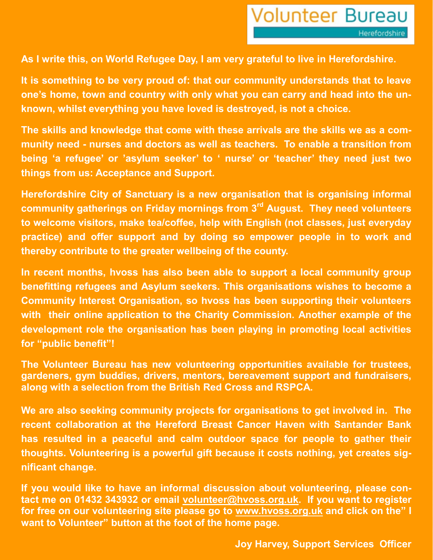**As I write this, on World Refugee Day, I am very grateful to live in Herefordshire.**

**It is something to be very proud of: that our community understands that to leave one's home, town and country with only what you can carry and head into the unknown, whilst everything you have loved is destroyed, is not a choice.**

**The skills and knowledge that come with these arrivals are the skills we as a community need - nurses and doctors as well as teachers. To enable a transition from being 'a refugee' or 'asylum seeker' to ' nurse' or 'teacher' they need just two things from us: Acceptance and Support.**

**Herefordshire City of Sanctuary is a new organisation that is organising informal community gatherings on Friday mornings from 3rd August. They need volunteers to welcome visitors, make tea/coffee, help with English (not classes, just everyday practice) and offer support and by doing so empower people in to work and thereby contribute to the greater wellbeing of the county.**

**In recent months, hvoss has also been able to support a local community group benefitting refugees and Asylum seekers. This organisations wishes to become a Community Interest Organisation, so hvoss has been supporting their volunteers with their online application to the Charity Commission. Another example of the development role the organisation has been playing in promoting local activities for "public benefit"!**

**The Volunteer Bureau has new volunteering opportunities available for trustees, gardeners, gym buddies, drivers, mentors, bereavement support and fundraisers, along with a selection from the British Red Cross and RSPCA.**

**We are also seeking community projects for organisations to get involved in. The recent collaboration at the Hereford Breast Cancer Haven with Santander Bank has resulted in a peaceful and calm outdoor space for people to gather their thoughts. Volunteering is a powerful gift because it costs nothing, yet creates significant change.**

**If you would like to have an informal discussion about volunteering, please contact me on 01432 343932 or email [volunteer@hvoss.org.uk.](mailto:volunteer@hvoss.org.uk) If you want to register for free on our volunteering site please go to [www.hvoss.org.uk](http://www.hvoss.org.uk) and click on the" I want to Volunteer" button at the foot of the home page.**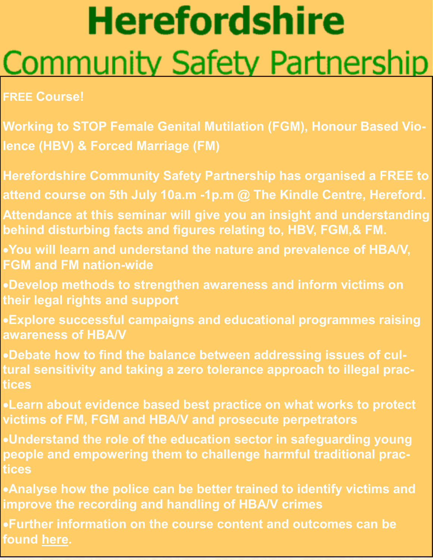# **Herefordshire Community Safety Partnership**

#### **FREE Course!**

- **Working to STOP Female Genital Mutilation (FGM), Honour Based Violence (HBV) & Forced Marriage (FM)**
- **Herefordshire Community Safety Partnership has organised a FREE to attend course on 5th July 10a.m -1p.m @ The Kindle Centre, Hereford.**
- **Attendance at this seminar will give you an insight and understanding behind disturbing facts and figures relating to, HBV, FGM,& FM.**
- **You will learn and understand the nature and prevalence of HBA/V, FGM and FM nation-wide**
- **Develop methods to strengthen awareness and inform victims on their legal rights and support**
- **Explore successful campaigns and educational programmes raising awareness of HBA/V**
- **Debate how to find the balance between addressing issues of cultural sensitivity and taking a zero tolerance approach to illegal practices**
- **Learn about evidence based best practice on what works to protect victims of FM, FGM and HBA/V and prosecute perpetrators**
- **Understand the role of the education sector in safeguarding young people and empowering them to challenge harmful traditional practices**
- **Analyse how the police can be better trained to identify victims and improve the recording and handling of HBA/V crimes**
- **Further information on the course content and outcomes can be found [here.](http://www.hvoss.org.uk/media/74065/FGM-HBV-FM-5-7-18-publicity-Flyer.pdf)**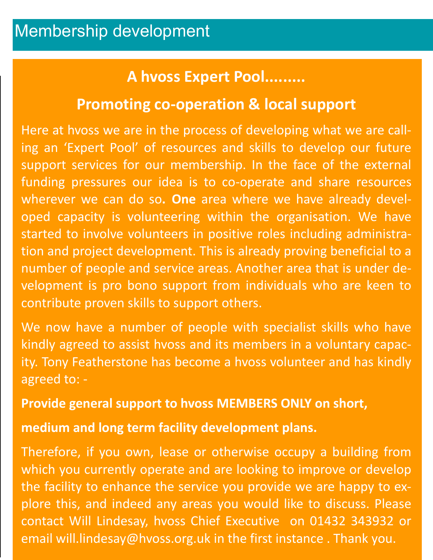#### **A hvoss Expert Pool.........**

#### **Promoting co-operation & local support**

Here at hvoss we are in the process of developing what we are calling an 'Expert Pool' of resources and skills to develop our future support services for our membership. In the face of the external funding pressures our idea is to co-operate and share resources wherever we can do so**. One** area where we have already developed capacity is volunteering within the organisation. We have started to involve volunteers in positive roles including administration and project development. This is already proving beneficial to a number of people and service areas. Another area that is under development is pro bono support from individuals who are keen to contribute proven skills to support others.

We now have a number of people with specialist skills who have kindly agreed to assist hvoss and its members in a voluntary capacity. Tony Featherstone has become a hvoss volunteer and has kindly agreed to: -

#### **Provide general support to hvoss MEMBERS ONLY on short,**

#### **medium and long term facility development plans.**

Therefore, if you own, lease or otherwise occupy a building from which you currently operate and are looking to improve or develop the facility to enhance the service you provide we are happy to explore this, and indeed any areas you would like to discuss. Please contact Will Lindesay, hvoss Chief Executive on 01432 343932 or email will.lindesay@hvoss.org.uk in the first instance . Thank you.